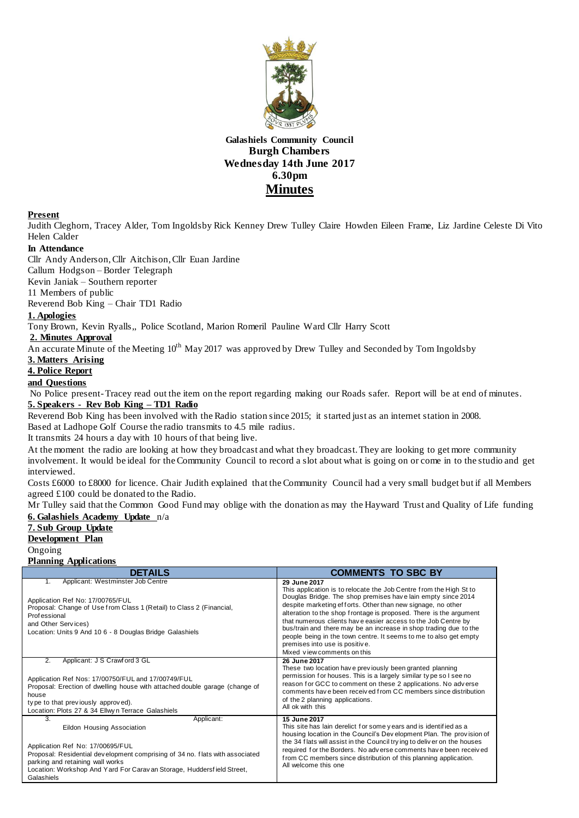

## **Galashiels Community Council Burgh Chambers Wednesday 14th June 2017 6.30pm Minutes**

#### **Present**

Judith Cleghorn, Tracey Alder, Tom Ingoldsby Rick Kenney Drew Tulley Claire Howden Eileen Frame, Liz Jardine Celeste Di Vito Helen Calder

### **In Attendance**

Cllr Andy Anderson,Cllr Aitchison,Cllr Euan Jardine

Callum Hodgson – Border Telegraph

Kevin Janiak – Southern reporter

11 Members of public

Reverend Bob King – Chair TD1 Radio

### **1. Apologies**

Tony Brown, Kevin Ryalls,, Police Scotland, Marion Romeril Pauline Ward Cllr Harry Scott

### **2. Minutes Approval**

An accurate Minute of the Meeting  $10^{th}$  May 2017 was approved by Drew Tulley and Seconded by Tom Ingoldsby

### **3. Matters Arising**

#### **4. Police Report**

### **and Questions**

No Police present-Tracey read out the item on the report regarding making our Roads safer. Report will be at end of minutes. **5. Speakers - Rev Bob King – TD1 Radio**

Reverend Bob King has been involved with the Radio station since 2015; it started just as an internet station in 2008. Based at Ladhope Golf Course the radio transmits to 4.5 mile radius.

It transmits 24 hours a day with 10 hours of that being live.

At the moment the radio are looking at how they broadcast and what they broadcast. They are looking to get more community involvement. It would be ideal for the Community Council to record a slot about what is going on or come in to the studio and get interviewed.

Costs £6000 to £8000 for licence. Chair Judith explained that the Community Council had a very small budget but if all Members agreed £100 could be donated to the Radio.

Mr Tulley said that the Common Good Fund may oblige with the donation as may the Hayward Trust and Quality of Life funding **6. Galashiels Academy Update** n/a

### **7. Sub Group Update Development Plan**

Ongoing **Planning Applications**

| <b>DETAILS</b>                                                                                                                                                                                                                                                                                 | <b>COMMENTS TO SBC BY</b>                                                                                                                                                                                                                                                                                                                                                                                                                                                                                                                                           |
|------------------------------------------------------------------------------------------------------------------------------------------------------------------------------------------------------------------------------------------------------------------------------------------------|---------------------------------------------------------------------------------------------------------------------------------------------------------------------------------------------------------------------------------------------------------------------------------------------------------------------------------------------------------------------------------------------------------------------------------------------------------------------------------------------------------------------------------------------------------------------|
| Applicant: Westminster Job Centre<br>1.<br>Application Ref No: 17/00765/FUL<br>Proposal: Change of Use from Class 1 (Retail) to Class 2 (Financial,<br><b>Professional</b><br>and Other Services)<br>Location: Units 9 And 10 6 - 8 Douglas Bridge Galashiels                                  | 29 June 2017<br>This application is to relocate the Job Centre from the High St to<br>Douglas Bridge. The shop premises have lain empty since 2014<br>despite marketing efforts. Other than new signage, no other<br>alteration to the shop frontage is proposed. There is the argument<br>that numerous clients have easier access to the Job Centre by<br>bus/train and there may be an increase in shop trading due to the<br>people being in the town centre. It seems to me to also get empty<br>premises into use is positive.<br>Mixed view comments on this |
| $\overline{2}$ .<br>Applicant: J S Crawf ord 3 GL<br>Application Ref Nos: 17/00750/FUL and 17/00749/FUL<br>Proposal: Erection of dwelling house with attached double garage (change of<br>house<br>type to that previously approved).<br>Location: Plots 27 & 34 Ellwyn Terrace Galashiels     | 26 June 2017<br>These two location have previously been granted planning<br>permission for houses. This is a largely similar type so I see no<br>reason for GCC to comment on these 2 applications. No adverse<br>comments have been received from CC members since distribution<br>of the 2 planning applications.<br>All ok with this                                                                                                                                                                                                                             |
| Applicant:<br>3.<br>Eildon Housing Association<br>Application Ref No: 17/00695/FUL<br>Proposal: Residential development comprising of 34 no. flats with associated<br>parking and retaining wall works<br>Location: Workshop And Yard For Carav an Storage, Huddersfield Street,<br>Galashiels | <b>15 June 2017</b><br>This site has lain derelict for some years and is identified as a<br>housing location in the Council's Dev elopment Plan. The provision of<br>the 34 flats will assist in the Council trying to deliver on the houses<br>required for the Borders. No adverse comments have been received<br>from CC members since distribution of this planning application.<br>All welcome this one                                                                                                                                                        |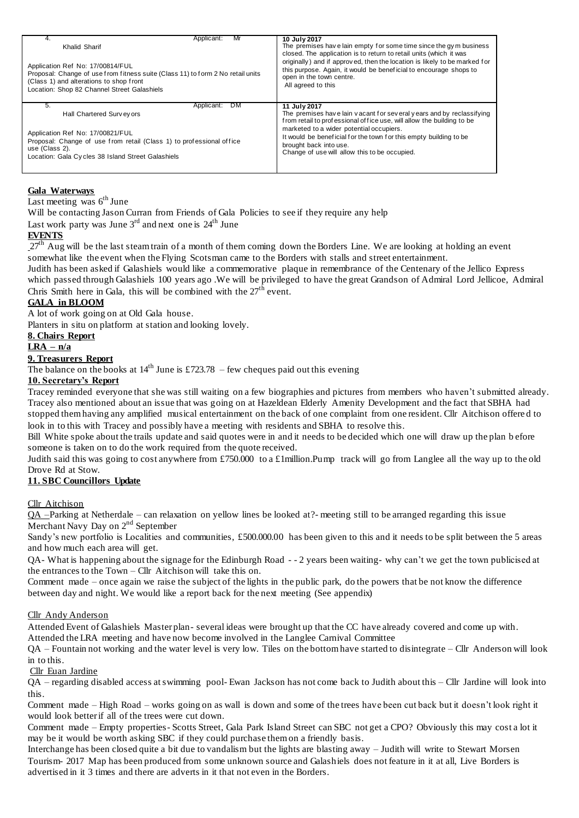| 4.                                                                                                                                                                                                            | Applicant:                                                           | Mr        | 10 July 2017                                                                                                                                                                                                                                                           |
|---------------------------------------------------------------------------------------------------------------------------------------------------------------------------------------------------------------|----------------------------------------------------------------------|-----------|------------------------------------------------------------------------------------------------------------------------------------------------------------------------------------------------------------------------------------------------------------------------|
| Khalid Sharif                                                                                                                                                                                                 |                                                                      |           | The premises have lain empty for some time since the gym business                                                                                                                                                                                                      |
| Application Ref No: 17/00814/FUL<br>Proposal: Change of use from fitness suite (Class 11) to form 2 No retail units<br>(Class 1) and alterations to shop front<br>Location: Shop 82 Channel Street Galashiels |                                                                      |           | closed. The application is to return to retail units (which it was<br>originally) and if approved, then the location is likely to be marked for<br>this purpose. Again, it would be beneficial to encourage shops to<br>open in the town centre.<br>All agreed to this |
| 5.                                                                                                                                                                                                            | Applicant:                                                           | <b>DM</b> | 11 July 2017                                                                                                                                                                                                                                                           |
| Hall Chartered Survey ors                                                                                                                                                                                     |                                                                      |           | The premises have lain vacant for several years and by reclassifying                                                                                                                                                                                                   |
| Application Ref No: 17/00821/FUL<br>use (Class 2).<br>Location: Gala Cycles 38 Island Street Galashiels                                                                                                       | Proposal: Change of use from retail (Class 1) to professional office |           | from retail to professional of fice use, will allow the building to be<br>marketed to a wider potential occupiers.<br>It would be beneficial for the town for this empty building to be<br>brought back into use.<br>Change of use will allow this to be occupied.     |

### **Gala Waterways**

Last meeting was  $6<sup>th</sup>$  June

Will be contacting Jason Curran from Friends of Gala Policies to see if they require any help

Last work party was June  $3^{\text{rd}}$  and next one is  $24^{\text{th}}$  June

### **EVENTS**

 $27<sup>th</sup>$  Aug will be the last steam train of a month of them coming down the Borders Line. We are looking at holding an event somewhat like the event when the Flying Scotsman came to the Borders with stalls and street entertainment.

Judith has been asked if Galashiels would like a commemorative plaque in remembrance of the Centenary of the Jellico Express which passed through Galashiels 100 years ago .We will be privileged to have the great Grandson of Admiral Lord Jellicoe, Admiral Chris Smith here in Gala, this will be combined with the  $27<sup>th</sup>$  event.

### **GALA in BLOOM**

A lot of work going on at Old Gala house.

Planters in situ on platform at station and looking lovely.

### **8. Chairs Report**

# **LRA – n/a**

### **9. Treasurers Report**

The balance on the books at  $14<sup>th</sup>$  June is £723.78 – few cheques paid out this evening

### **10. Secretary's Report**

Tracey reminded everyone that she was still waiting on a few biographies and pictures from members who haven't submitted already. Tracey also mentioned about an issue that was going on at Hazeldean Elderly Amenity Development and the fact that SBHA had stopped them having any amplified musical entertainment on the back of one complaint from one resident. Cllr Aitchison offere d to look in to this with Tracey and possibly have a meeting with residents and SBHA to resolve this.

Bill White spoke about the trails update and said quotes were in and it needs to be decided which one will draw up the plan b efore someone is taken on to do the work required from the quote received.

Judith said this was going to cost anywhere from £750.000 to a £1million.Pump track will go from Langlee all the way up to the old Drove Rd at Stow.

### **11. SBC Councillors Update**

### Cllr Aitchison

 $QA$  –Parking at Netherdale – can relaxation on yellow lines be looked at?- meeting still to be arranged regarding this issue Merchant Navy Day on 2<sup>nd</sup> September

Sandy's new portfolio is Localities and communities, £500.000.00 has been given to this and it needs to be split between the 5 areas and how much each area will get.

QA- What is happening about the signage for the Edinburgh Road - - 2 years been waiting- why can't we get the town publicised at the entrances to the Town – Cllr Aitchison will take this on.

Comment made – once again we raise the subject of the lights in the public park, do the powers that be not know the difference between day and night. We would like a report back for the next meeting (See appendix)

### Cllr Andy Anderson

Attended Event of Galashiels Master plan- several ideas were brought up that the CC have already covered and come up with. Attended the LRA meeting and have now become involved in the Langlee Carnival Committee

QA – Fountain not working and the water level is very low. Tiles on the bottom have started to disintegrate – Cllr Anderson will look in to this.

### Cllr Euan Jardine

QA – regarding disabled access at swimming pool- Ewan Jackson has not come back to Judith about this – Cllr Jardine will look into this.

Comment made – High Road – works going on as wall is down and some of the trees have been cut back but it doesn't look right it would look better if all of the trees were cut down.

Comment made – Empty properties- Scotts Street, Gala Park Island Street can SBC not get a CPO? Obviously this may cost a lot it may be it would be worth asking SBC if they could purchase them on a friendly basis.

Interchange has been closed quite a bit due to vandalism but the lights are blasting away – Judith will write to Stewart Morsen Tourism- 2017 Map has been produced from some unknown source and Galashiels does not feature in it at all, Live Borders is advertised in it 3 times and there are adverts in it that not even in the Borders.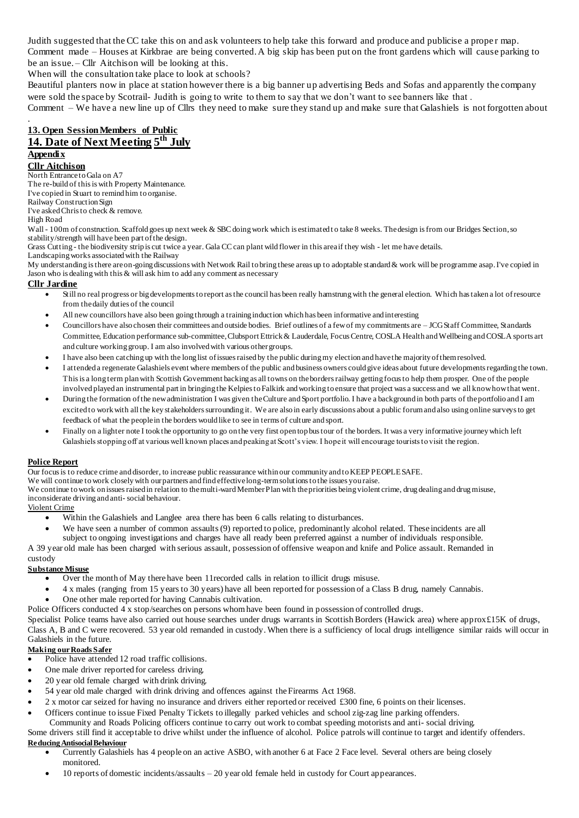Judith suggested that the CC take this on and ask volunteers to help take this forward and produce and publicise a prope r map. Comment made – Houses at Kirkbrae are being converted. A big skip has been put on the front gardens which will cause parking to be an issue. – Cllr Aitchison will be looking at this.

When will the consultation take place to look at schools?

Beautiful planters now in place at station however there is a big banner up advertising Beds and Sofas and apparently the company were sold the space by Scotrail- Judith is going to write to them to say that we don't want to see banners like that.

Comment – We have a new line up of Cllrs they need to make sure they stand up and make sure that Galashiels is not forgotten about .

### **13. Open Session Members of Public 14. Date of Next Meeting 5 th July Appendix**

# **Cllr Aitchison**

North Entrance to Gala on A7

The re-build of this is with Property Maintenance.

I've copied in Stuart to remind him to organise.

Railway Construction Sign

I've asked Chris to check & remove.

High Road

Wall - 100m of construction. Scaffold goes up next week & SBC doing work which is estimated t o take 8 weeks. The design is from our Bridges Section,so stability/strength will have been part of the design.

Grass Cutting - the biodiversity strip is cut twice a year. Gala CC can plant wild flower in this area if they wish - let me have details.

Landscaping works associated with the Railway My understanding is there are on-going discussions with Network Rail to bring these areas up to adoptable standard & work will be programme asap. I've copied in Jason who is dealing with this & will ask him to add any comment as necessary

### **Cllr Jardine**

- Still no real progress or big developments to report as the council has been really hamstrung with the general election. Which has taken a lot of resource from the daily duties of the council
- All new councillors have also been going through a training induction which has been informative and interesting
- Councillors have also chosen their committees and outside bodies. Brief outlines of a few of my commitments are JCG Staff Committee, Standards Committee, Education performance sub-committee, Clubsport Ettrick & Lauderdale, Focus Centre, COSLA Health and Wellbeing and COSLA sports art and culture working group. I am also involved with various other groups.
- I have also been catching up with the long list of issues raised by the public during my election and have the majority of them resolved.
- I attended a regenerate Galashiels event where members of the public and business owners could give ideas about future developments regarding the town. This is a long term plan with Scottish Government backing as all towns on the borders railway getting focus to help them prosper. One of the people involved played an instrumental part in bringing the Kelpies to Falkirk and working to ensure that project was a success and we all know how that went.
- During the formation of the new administration I was given the Culture and Sport portfolio. I have a background in both parts of the portfolio and I am excited to work with all the key stakeholders surrounding it. We are also in early discussions about a public forum and also using online surveys to get feedback of what the people in the borders would like to see in terms of culture and sport.
- Finally on a lighter note I took the opportunity to go on the very first open top bus tour of the borders. It was a very informative journey which left Galashiels stopping off at various well known places and peaking at Scott's view. I hope it will encourage tourists to visit the region.

### **Police Report**

Our focus is to reduce crime and disorder, to increase public reassurance within our community and to KEEP PEOPLE SAFE.

We will continue to work closely with our partners and find effective long-term solutions to the issues you raise.

We continue to work on issues raised in relation to the multi-ward Member Plan with the priorities being violent crime, drug dealing and drug misuse, inconsiderate driving and anti- social behaviour.

### Violent Crime

- Within the Galashiels and Langlee area there has been 6 calls relating to disturbances.
- We have seen a number of common assaults (9) reported to police, predominantly alcohol related. These incidents are all subject to ongoing investigations and charges have all ready been preferred against a number of individuals responsible.

A 39 year old male has been charged with serious assault, possession of offensive weapon and knife and Police assault. Remanded in custody

### **Substance Misuse**

- Over the month of May there have been 11recorded calls in relation to illicit drugs misuse.
- 4 x males (ranging from 15 years to 30 years) have all been reported for possession of a Class B drug, namely Cannabis.
- One other male reported for having Cannabis cultivation.

Police Officers conducted 4 x stop/searches on persons whom have been found in possession of controlled drugs.

Specialist Police teams have also carried out house searches under drugs warrants in Scottish Borders (Hawick area) where approx £15K of drugs, Class A, B and C were recovered. 53 year old remanded in custody. When there is a sufficiency of local drugs intelligence similar raids will occur in Galashiels in the future.

### **Making our Roads Safer**

- Police have attended 12 road traffic collisions.
- One male driver reported for careless driving.
- 20 year old female charged with drink driving.
- 54 year old male charged with drink driving and offences against the Firearms Act 1968.
- 2 x motor car seized for having no insurance and drivers either reported or received £300 fine, 6 points on their licenses.
- Officers continue to issue Fixed Penalty Tickets to illegally parked vehicles and school zig-zag line parking offenders.
	- Community and Roads Policing officers continue to carry out work to combat speeding motorists and anti- social driving.

### Some drivers still find it acceptable to drive whilst under the influence of alcohol. Police patrols will continue to target and identify offenders. **Reducing Antisocial Behaviour**

- Currently Galashiels has 4 people on an active ASBO, with another 6 at Face 2 Face level. Several others are being closely monitored.
- 10 reports of domestic incidents/assaults 20 year old female held in custody for Court appearances.